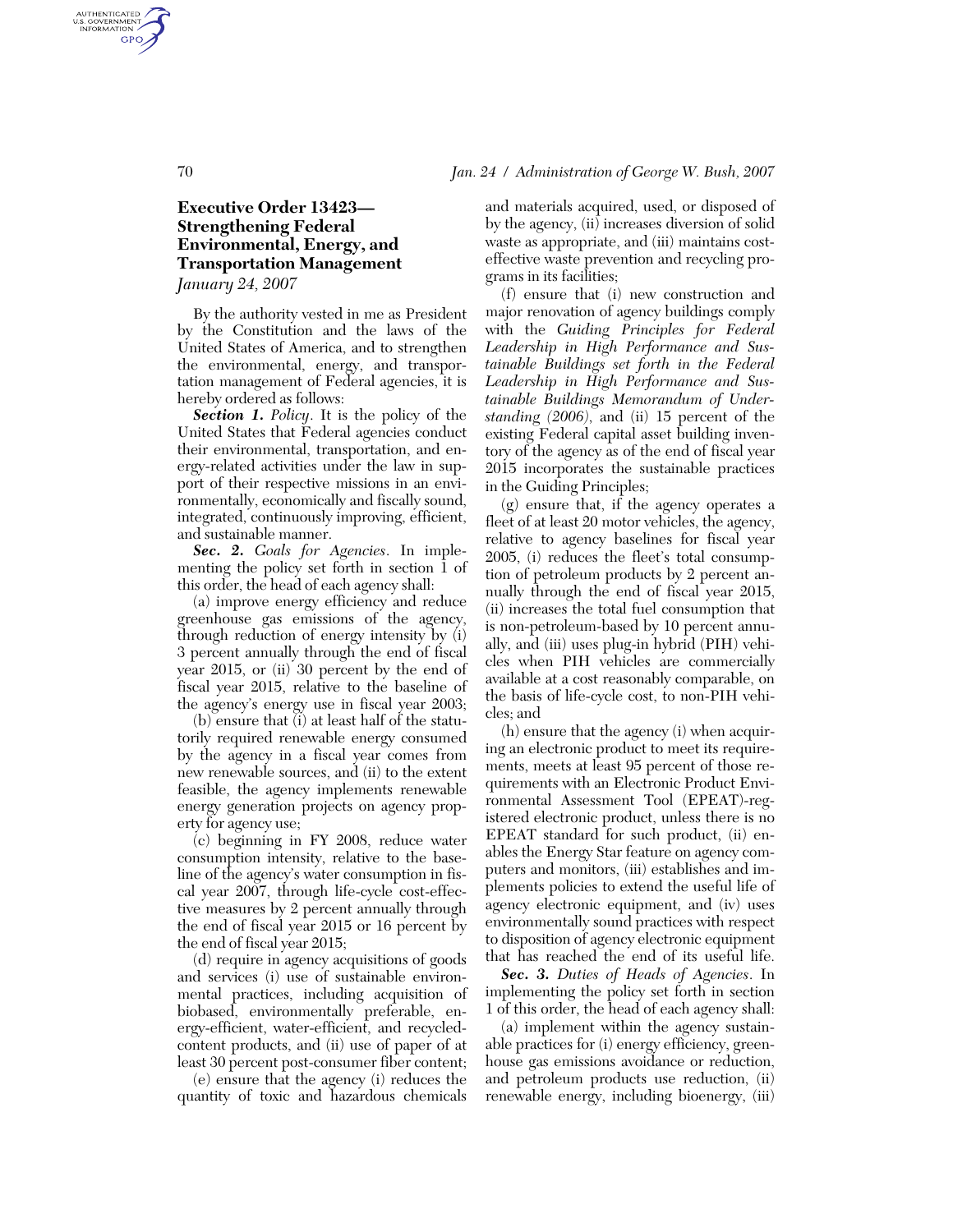## **Executive Order 13423— Strengthening Federal Environmental, Energy, and Transportation Management**  *January 24, 2007*

By the authority vested in me as President by the Constitution and the laws of the United States of America, and to strengthen the environmental, energy, and transportation management of Federal agencies, it is hereby ordered as follows:

*Section 1. Policy*. It is the policy of the United States that Federal agencies conduct their environmental, transportation, and energy-related activities under the law in support of their respective missions in an environmentally, economically and fiscally sound, integrated, continuously improving, efficient, and sustainable manner.

*Sec. 2. Goals for Agencies*. In implementing the policy set forth in section 1 of this order, the head of each agency shall:

(a) improve energy efficiency and reduce greenhouse gas emissions of the agency, through reduction of energy intensity by (i) 3 percent annually through the end of fiscal year 2015, or (ii) 30 percent by the end of fiscal year 2015, relative to the baseline of the agency's energy use in fiscal year 2003;

(b) ensure that (i) at least half of the statutorily required renewable energy consumed by the agency in a fiscal year comes from new renewable sources, and (ii) to the extent feasible, the agency implements renewable energy generation projects on agency property for agency use;

(c) beginning in FY 2008, reduce water consumption intensity, relative to the baseline of the agency's water consumption in fiscal year 2007, through life-cycle cost-effective measures by 2 percent annually through the end of fiscal year 2015 or 16 percent by the end of fiscal year 2015;

(d) require in agency acquisitions of goods and services (i) use of sustainable environmental practices, including acquisition of biobased, environmentally preferable, energy-efficient, water-efficient, and recycledcontent products, and (ii) use of paper of at least 30 percent post-consumer fiber content;

(e) ensure that the agency (i) reduces the quantity of toxic and hazardous chemicals and materials acquired, used, or disposed of by the agency, (ii) increases diversion of solid waste as appropriate, and (iii) maintains costeffective waste prevention and recycling programs in its facilities;

(f) ensure that (i) new construction and major renovation of agency buildings comply with the *Guiding Principles for Federal Leadership in High Performance and Sustainable Buildings set forth in the Federal Leadership in High Performance and Sustainable Buildings Memorandum of Understanding (2006)*, and (ii) 15 percent of the existing Federal capital asset building inventory of the agency as of the end of fiscal year 2015 incorporates the sustainable practices in the Guiding Principles;

(g) ensure that, if the agency operates a fleet of at least 20 motor vehicles, the agency, relative to agency baselines for fiscal year 2005, (i) reduces the fleet's total consumption of petroleum products by 2 percent annually through the end of fiscal year 2015, (ii) increases the total fuel consumption that is non-petroleum-based by 10 percent annually, and (iii) uses plug-in hybrid (PIH) vehicles when PIH vehicles are commercially available at a cost reasonably comparable, on the basis of life-cycle cost, to non-PIH vehicles; and

(h) ensure that the agency (i) when acquiring an electronic product to meet its requirements, meets at least 95 percent of those requirements with an Electronic Product Environmental Assessment Tool (EPEAT)-registered electronic product, unless there is no EPEAT standard for such product, (ii) enables the Energy Star feature on agency computers and monitors, (iii) establishes and implements policies to extend the useful life of agency electronic equipment, and (iv) uses environmentally sound practices with respect to disposition of agency electronic equipment that has reached the end of its useful life.

*Sec. 3. Duties of Heads of Agencies*. In implementing the policy set forth in section 1 of this order, the head of each agency shall:

(a) implement within the agency sustainable practices for (i) energy efficiency, greenhouse gas emissions avoidance or reduction, and petroleum products use reduction, (ii) renewable energy, including bioenergy, (iii)

AUTHENTICATED<br>U.S. GOVERNMENT<br>INFORMATION **GPO**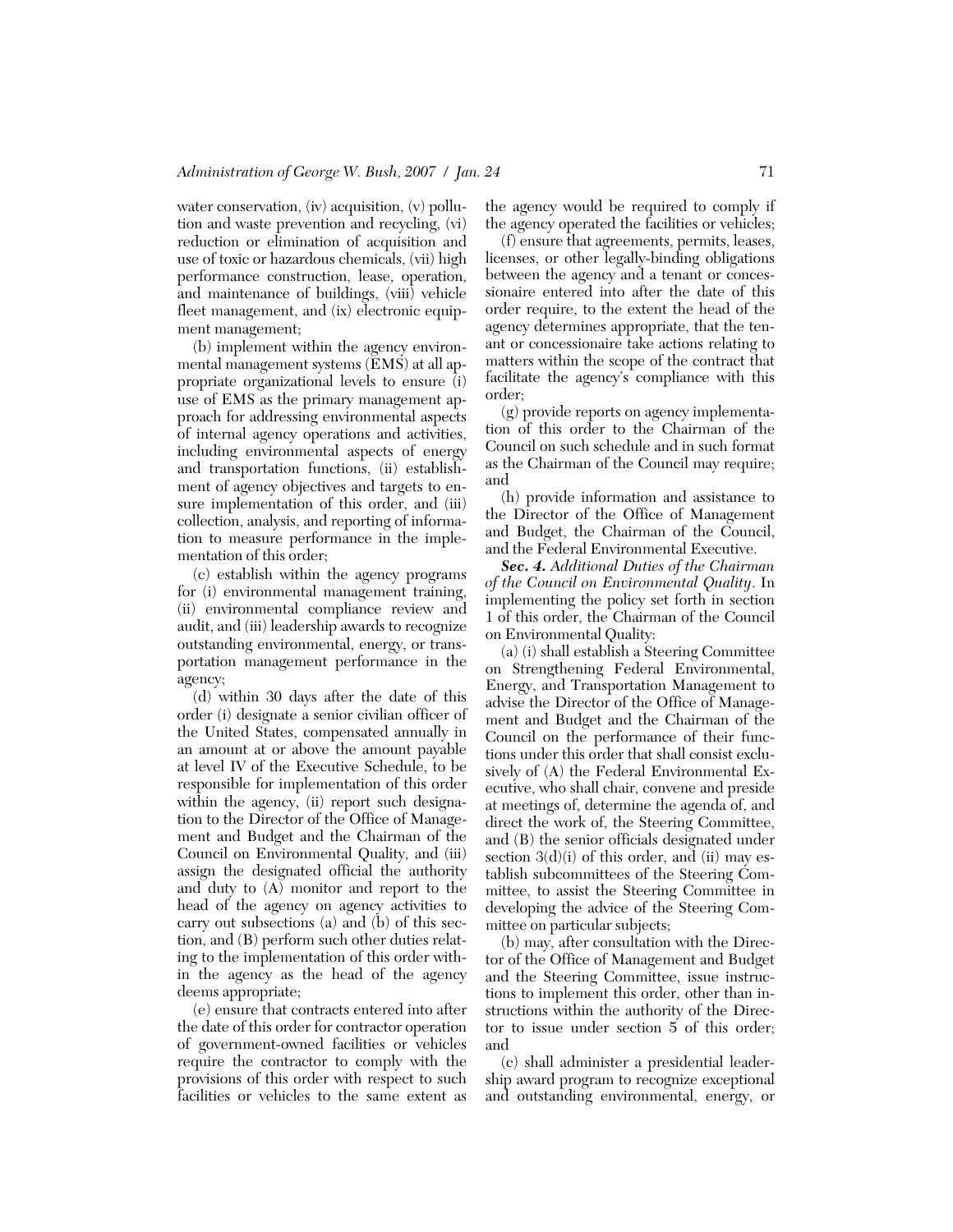water conservation, (iv) acquisition, (v) pollution and waste prevention and recycling, (vi) reduction or elimination of acquisition and use of toxic or hazardous chemicals, (vii) high performance construction, lease, operation, and maintenance of buildings, (viii) vehicle fleet management, and (ix) electronic equipment management;

(b) implement within the agency environmental management systems (EMS) at all appropriate organizational levels to ensure (i) use of EMS as the primary management approach for addressing environmental aspects of internal agency operations and activities, including environmental aspects of energy and transportation functions, (ii) establishment of agency objectives and targets to ensure implementation of this order, and (iii) collection, analysis, and reporting of information to measure performance in the implementation of this order;

(c) establish within the agency programs for (i) environmental management training, (ii) environmental compliance review and audit, and (iii) leadership awards to recognize outstanding environmental, energy, or transportation management performance in the agency;

(d) within 30 days after the date of this order (i) designate a senior civilian officer of the United States, compensated annually in an amount at or above the amount payable at level IV of the Executive Schedule, to be responsible for implementation of this order within the agency, (ii) report such designation to the Director of the Office of Management and Budget and the Chairman of the Council on Environmental Quality, and (iii) assign the designated official the authority and duty to  $(A)$  monitor and report to the head of the agency on agency activities to carry out subsections (a) and (b) of this section, and (B) perform such other duties relating to the implementation of this order within the agency as the head of the agency deems appropriate;

(e) ensure that contracts entered into after the date of this order for contractor operation of government-owned facilities or vehicles require the contractor to comply with the provisions of this order with respect to such facilities or vehicles to the same extent as

the agency would be required to comply if the agency operated the facilities or vehicles;

(f) ensure that agreements, permits, leases, licenses, or other legally-binding obligations between the agency and a tenant or concessionaire entered into after the date of this order require, to the extent the head of the agency determines appropriate, that the tenant or concessionaire take actions relating to matters within the scope of the contract that facilitate the agency's compliance with this order;

(g) provide reports on agency implementation of this order to the Chairman of the Council on such schedule and in such format as the Chairman of the Council may require; and

(h) provide information and assistance to the Director of the Office of Management and Budget, the Chairman of the Council, and the Federal Environmental Executive.

*Sec. 4. Additional Duties of the Chairman of the Council on Environmental Quality*. In implementing the policy set forth in section 1 of this order, the Chairman of the Council on Environmental Quality:

(a) (i) shall establish a Steering Committee on Strengthening Federal Environmental, Energy, and Transportation Management to advise the Director of the Office of Management and Budget and the Chairman of the Council on the performance of their functions under this order that shall consist exclusively of (A) the Federal Environmental Executive, who shall chair, convene and preside at meetings of, determine the agenda of, and direct the work of, the Steering Committee, and (B) the senior officials designated under section  $3(d)(i)$  of this order, and (ii) may establish subcommittees of the Steering Committee, to assist the Steering Committee in developing the advice of the Steering Committee on particular subjects;

(b) may, after consultation with the Director of the Office of Management and Budget and the Steering Committee, issue instructions to implement this order, other than instructions within the authority of the Director to issue under section 5 of this order; and

(c) shall administer a presidential leadership award program to recognize exceptional and outstanding environmental, energy, or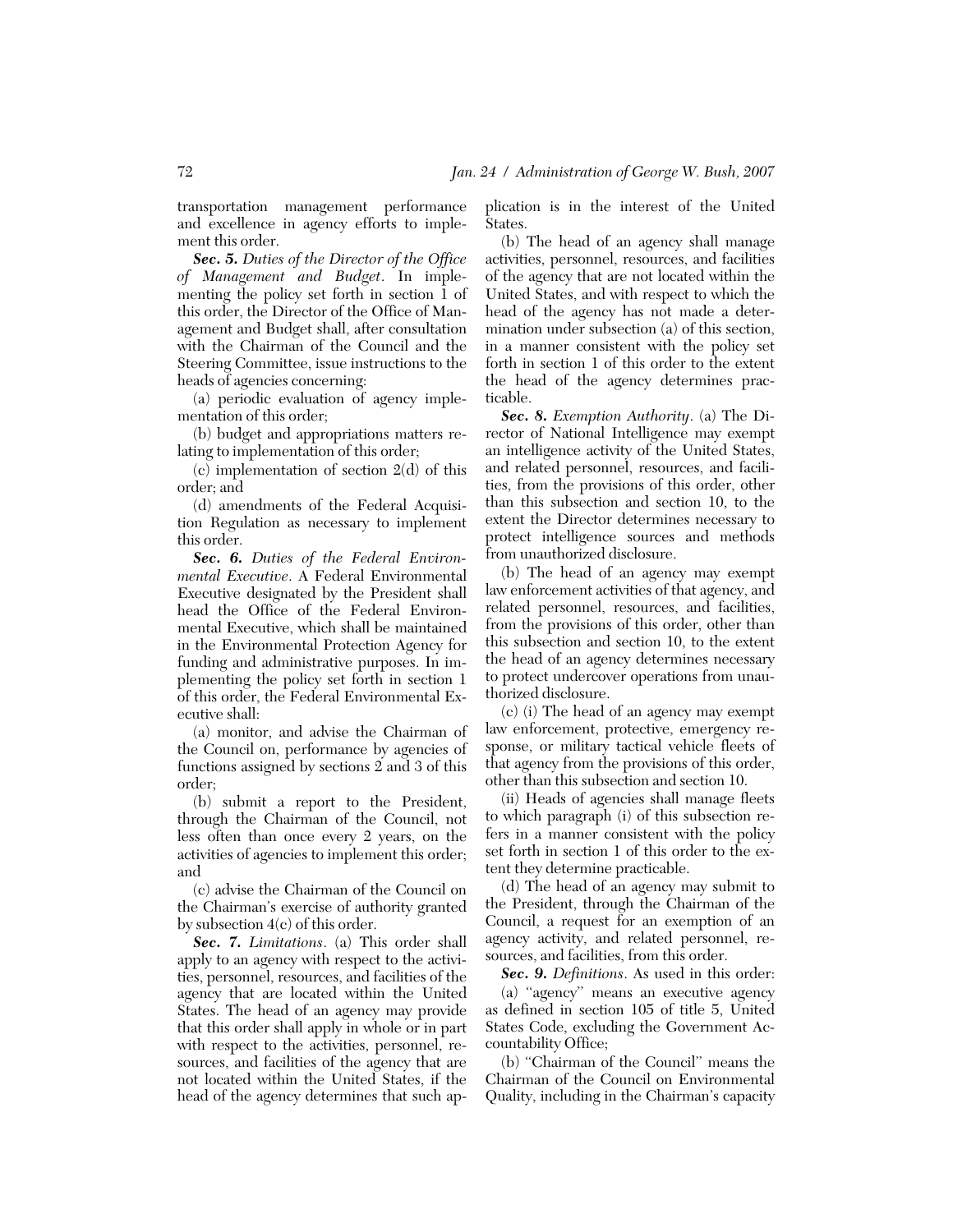transportation management performance and excellence in agency efforts to implement this order.

*Sec. 5. Duties of the Director of the Office of Management and Budget*. In implementing the policy set forth in section 1 of this order, the Director of the Office of Management and Budget shall, after consultation with the Chairman of the Council and the Steering Committee, issue instructions to the heads of agencies concerning:

(a) periodic evaluation of agency implementation of this order;

(b) budget and appropriations matters relating to implementation of this order;

(c) implementation of section 2(d) of this order; and

(d) amendments of the Federal Acquisition Regulation as necessary to implement this order.

*Sec. 6. Duties of the Federal Environmental Executive*. A Federal Environmental Executive designated by the President shall head the Office of the Federal Environmental Executive, which shall be maintained in the Environmental Protection Agency for funding and administrative purposes. In implementing the policy set forth in section 1 of this order, the Federal Environmental Executive shall:

(a) monitor, and advise the Chairman of the Council on, performance by agencies of functions assigned by sections 2 and 3 of this order;

(b) submit a report to the President, through the Chairman of the Council, not less often than once every 2 years, on the activities of agencies to implement this order; and

(c) advise the Chairman of the Council on the Chairman's exercise of authority granted by subsection 4(c) of this order.

*Sec. 7. Limitations*. (a) This order shall apply to an agency with respect to the activities, personnel, resources, and facilities of the agency that are located within the United States. The head of an agency may provide that this order shall apply in whole or in part with respect to the activities, personnel, resources, and facilities of the agency that are not located within the United States, if the head of the agency determines that such ap-

plication is in the interest of the United States.

(b) The head of an agency shall manage activities, personnel, resources, and facilities of the agency that are not located within the United States, and with respect to which the head of the agency has not made a determination under subsection (a) of this section, in a manner consistent with the policy set forth in section 1 of this order to the extent the head of the agency determines practicable.

*Sec. 8. Exemption Authority*. (a) The Director of National Intelligence may exempt an intelligence activity of the United States, and related personnel, resources, and facilities, from the provisions of this order, other than this subsection and section 10, to the extent the Director determines necessary to protect intelligence sources and methods from unauthorized disclosure.

(b) The head of an agency may exempt law enforcement activities of that agency, and related personnel, resources, and facilities, from the provisions of this order, other than this subsection and section 10, to the extent the head of an agency determines necessary to protect undercover operations from unauthorized disclosure.

(c) (i) The head of an agency may exempt law enforcement, protective, emergency response, or military tactical vehicle fleets of that agency from the provisions of this order, other than this subsection and section 10.

(ii) Heads of agencies shall manage fleets to which paragraph (i) of this subsection refers in a manner consistent with the policy set forth in section 1 of this order to the extent they determine practicable.

(d) The head of an agency may submit to the President, through the Chairman of the Council, a request for an exemption of an agency activity, and related personnel, resources, and facilities, from this order.

*Sec. 9. Definitions*. As used in this order:

(a) ''agency'' means an executive agency as defined in section 105 of title 5, United States Code, excluding the Government Accountability Office;

(b) ''Chairman of the Council'' means the Chairman of the Council on Environmental Quality, including in the Chairman's capacity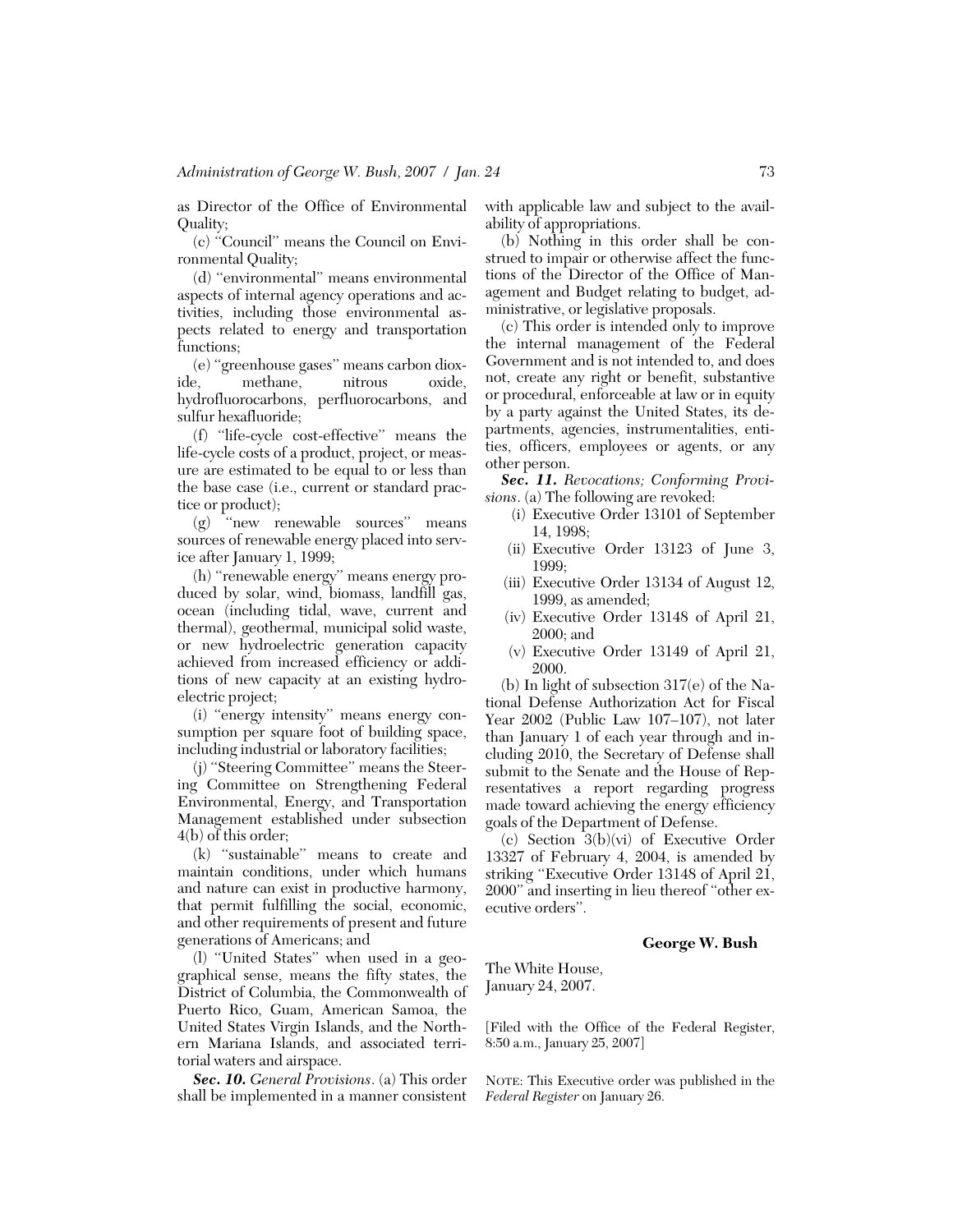as Director of the Office of Environmental Quality;

(c) ''Council'' means the Council on Environmental Quality;

(d) ''environmental'' means environmental aspects of internal agency operations and activities, including those environmental aspects related to energy and transportation functions;

(e) ''greenhouse gases'' means carbon dioxmethane. hydrofluorocarbons, perfluorocarbons, and sulfur hexafluoride;

(f) ''life-cycle cost-effective'' means the life-cycle costs of a product, project, or measure are estimated to be equal to or less than the base case (i.e., current or standard practice or product);

(g) ''new renewable sources'' means sources of renewable energy placed into service after January 1, 1999;

(h) ''renewable energy'' means energy produced by solar, wind, biomass, landfill gas, ocean (including tidal, wave, current and thermal), geothermal, municipal solid waste, or new hydroelectric generation capacity achieved from increased efficiency or additions of new capacity at an existing hydroelectric project;

(i) ''energy intensity'' means energy consumption per square foot of building space, including industrial or laboratory facilities;

(j) ''Steering Committee'' means the Steering Committee on Strengthening Federal Environmental, Energy, and Transportation Management established under subsection 4(b) of this order;

(k) ''sustainable'' means to create and maintain conditions, under which humans and nature can exist in productive harmony, that permit fulfilling the social, economic, and other requirements of present and future generations of Americans; and

(l) ''United States'' when used in a geographical sense, means the fifty states, the District of Columbia, the Commonwealth of Puerto Rico, Guam, American Samoa, the United States Virgin Islands, and the Northern Mariana Islands, and associated territorial waters and airspace.

*Sec. 10. General Provisions*. (a) This order shall be implemented in a manner consistent with applicable law and subject to the availability of appropriations.

(b) Nothing in this order shall be construed to impair or otherwise affect the functions of the Director of the Office of Management and Budget relating to budget, administrative, or legislative proposals.

(c) This order is intended only to improve the internal management of the Federal Government and is not intended to, and does not, create any right or benefit, substantive or procedural, enforceable at law or in equity by a party against the United States, its departments, agencies, instrumentalities, entities, officers, employees or agents, or any other person.

*Sec. 11. Revocations; Conforming Provisions*. (a) The following are revoked:

- (i) Executive Order 13101 of September 14, 1998;
- (ii) Executive Order 13123 of June 3, 1999;
- (iii) Executive Order 13134 of August 12, 1999, as amended;
- (iv) Executive Order 13148 of April 21, 2000; and
- (v) Executive Order 13149 of April 21, 2000.

(b) In light of subsection 317(e) of the National Defense Authorization Act for Fiscal Year 2002 (Public Law 107–107), not later than January 1 of each year through and including 2010, the Secretary of Defense shall submit to the Senate and the House of Representatives a report regarding progress made toward achieving the energy efficiency goals of the Department of Defense.

(c) Section 3(b)(vi) of Executive Order 13327 of February 4, 2004, is amended by striking ''Executive Order 13148 of April 21, 2000'' and inserting in lieu thereof ''other executive orders''.

## **George W. Bush**

The White House, January 24, 2007.

[Filed with the Office of the Federal Register, 8:50 a.m., January 25, 2007]

NOTE: This Executive order was published in the *Federal Register* on January 26.